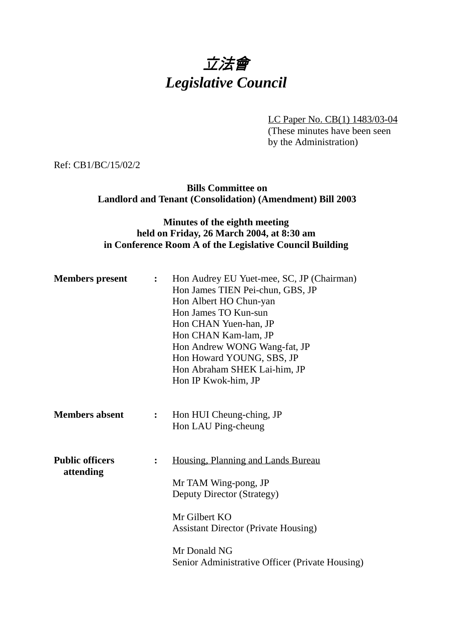## 立法會 *Legislative Council*

LC Paper No. CB(1) 1483/03-04 (These minutes have been seen by the Administration)

Ref: CB1/BC/15/02/2

**Bills Committee on Landlord and Tenant (Consolidation) (Amendment) Bill 2003**

## **Minutes of the eighth meeting held on Friday, 26 March 2004, at 8:30 am in Conference Room A of the Legislative Council Building**

| <b>Members</b> present              | $\mathbf{L}$   | Hon Audrey EU Yuet-mee, SC, JP (Chairman)<br>Hon James TIEN Pei-chun, GBS, JP<br>Hon Albert HO Chun-yan<br>Hon James TO Kun-sun<br>Hon CHAN Yuen-han, JP<br>Hon CHAN Kam-lam, JP<br>Hon Andrew WONG Wang-fat, JP<br>Hon Howard YOUNG, SBS, JP<br>Hon Abraham SHEK Lai-him, JP<br>Hon IP Kwok-him, JP |
|-------------------------------------|----------------|------------------------------------------------------------------------------------------------------------------------------------------------------------------------------------------------------------------------------------------------------------------------------------------------------|
| <b>Members absent</b>               | $\ddot{\cdot}$ | Hon HUI Cheung-ching, JP<br>Hon LAU Ping-cheung                                                                                                                                                                                                                                                      |
| <b>Public officers</b><br>attending | $\ddot{\cdot}$ | Housing, Planning and Lands Bureau<br>Mr TAM Wing-pong, JP<br>Deputy Director (Strategy)<br>Mr Gilbert KO<br><b>Assistant Director (Private Housing)</b><br>Mr Donald NG<br>Senior Administrative Officer (Private Housing)                                                                          |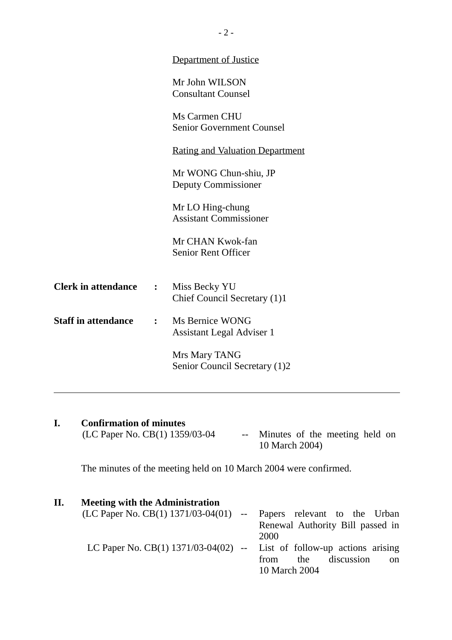|                            |              | Department of Justice                               |
|----------------------------|--------------|-----------------------------------------------------|
|                            |              | Mr John WILSON<br><b>Consultant Counsel</b>         |
|                            |              | Ms Carmen CHU<br><b>Senior Government Counsel</b>   |
|                            |              | <u>Rating and Valuation Department</u>              |
|                            |              | Mr WONG Chun-shiu, JP<br>Deputy Commissioner        |
|                            |              | Mr LO Hing-chung<br><b>Assistant Commissioner</b>   |
|                            |              | Mr CHAN Kwok-fan<br><b>Senior Rent Officer</b>      |
| <b>Clerk in attendance</b> | $\mathbf{L}$ | Miss Becky YU<br>Chief Council Secretary (1)1       |
| <b>Staff in attendance</b> | $\mathbf{L}$ | Ms Bernice WONG<br><b>Assistant Legal Adviser 1</b> |
|                            |              | Mrs Mary TANG<br>Senior Council Secretary (1)2      |
|                            |              |                                                     |

**I.** Confirmation of minutes<br>(LC Paper No. CB(1) 1359/03-04 -- Minutes of the meeting held on 10 March 2004)

The minutes of the meeting held on 10 March 2004 were confirmed.

| П. | <b>Meeting with the Administration</b>                                   |                                  |
|----|--------------------------------------------------------------------------|----------------------------------|
|    | $(LC$ Paper No. $CB(1)$ 1371/03-04(01) -- Papers relevant to the Urban   |                                  |
|    |                                                                          | Renewal Authority Bill passed in |
|    |                                                                          | 2000                             |
|    | LC Paper No. CB(1) $1371/03-04(02)$ -- List of follow-up actions arising |                                  |
|    |                                                                          | discussion<br>the<br>from<br>on  |
|    |                                                                          | 10 March 2004                    |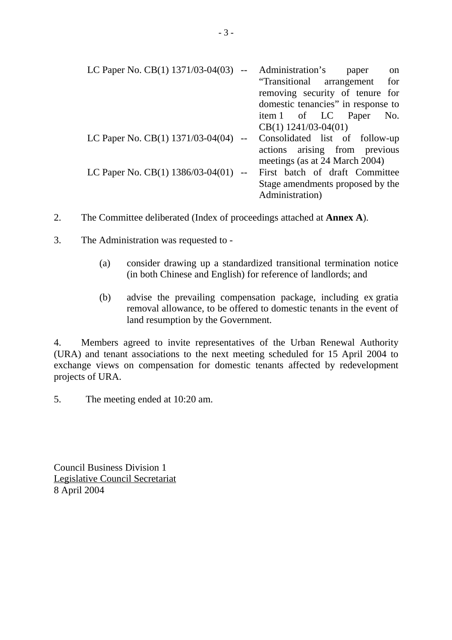| LC Paper No. CB(1) 1371/03-04(03) --       | Administration's<br>on<br>paper    |
|--------------------------------------------|------------------------------------|
|                                            | "Transitional arrangement for      |
|                                            | removing security of tenure for    |
|                                            | domestic tenancies" in response to |
|                                            | item 1 of LC Paper No.             |
|                                            | $CB(1)$ 1241/03-04(01)             |
| LC Paper No. CB $(1)$ 1371/03-04 $(04)$ -- | Consolidated list of follow-up     |
|                                            | actions arising from previous      |
|                                            | meetings (as at 24 March 2004)     |
| LC Paper No. CB(1) $1386/03-04(01)$ --     | First batch of draft Committee     |
|                                            | Stage amendments proposed by the   |
|                                            | Administration)                    |

- 2. The Committee deliberated (Index of proceedings attached at **Annex A**).
- 3. The Administration was requested to
	- (a) consider drawing up a standardized transitional termination notice (in both Chinese and English) for reference of landlords; and
	- (b) advise the prevailing compensation package, including ex gratia removal allowance, to be offered to domestic tenants in the event of land resumption by the Government.

4. Members agreed to invite representatives of the Urban Renewal Authority (URA) and tenant associations to the next meeting scheduled for 15 April 2004 to exchange views on compensation for domestic tenants affected by redevelopment projects of URA.

5. The meeting ended at 10:20 am.

Council Business Division 1 Legislative Council Secretariat 8 April 2004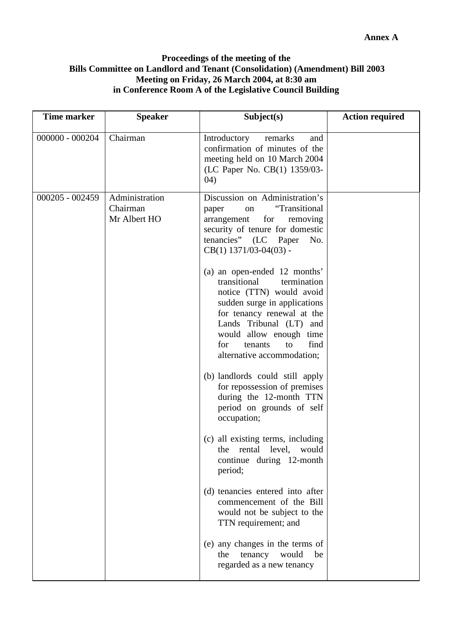## **Proceedings of the meeting of the Bills Committee on Landlord and Tenant (Consolidation) (Amendment) Bill 2003 Meeting on Friday, 26 March 2004, at 8:30 am in Conference Room A of the Legislative Council Building**

| <b>Time marker</b> | <b>Speaker</b>                             | Subject(s)                                                                                                                                                                                                                                                                | <b>Action required</b> |
|--------------------|--------------------------------------------|---------------------------------------------------------------------------------------------------------------------------------------------------------------------------------------------------------------------------------------------------------------------------|------------------------|
| $000000 - 000204$  | Chairman                                   | Introductory<br>remarks<br>and<br>confirmation of minutes of the<br>meeting held on 10 March 2004<br>(LC Paper No. CB(1) 1359/03-<br>(04)                                                                                                                                 |                        |
| $000205 - 002459$  | Administration<br>Chairman<br>Mr Albert HO | Discussion on Administration's<br>"Transitional<br>paper<br>on<br>arrangement<br>for<br>removing<br>security of tenure for domestic<br>tenancies" (LC Paper<br>No.<br>$CB(1)$ 1371/03-04(03) -                                                                            |                        |
|                    |                                            | (a) an open-ended 12 months'<br>transitional<br>termination<br>notice (TTN) would avoid<br>sudden surge in applications<br>for tenancy renewal at the<br>Lands Tribunal (LT) and<br>would allow enough time<br>find<br>for<br>tenants<br>to<br>alternative accommodation; |                        |
|                    |                                            | (b) landlords could still apply<br>for repossession of premises<br>during the 12-month TTN<br>period on grounds of self<br>occupation;                                                                                                                                    |                        |
|                    |                                            | (c) all existing terms, including<br>the rental level, would<br>continue during 12-month<br>period;                                                                                                                                                                       |                        |
|                    |                                            | (d) tenancies entered into after<br>commencement of the Bill<br>would not be subject to the<br>TTN requirement; and                                                                                                                                                       |                        |
|                    |                                            | (e) any changes in the terms of<br>tenancy would be<br>the<br>regarded as a new tenancy                                                                                                                                                                                   |                        |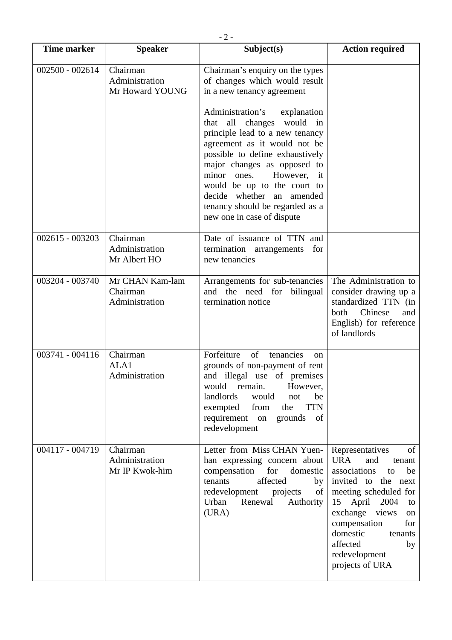| <b>Time marker</b> | <b>Speaker</b>                                | Subject(s)                                                                                                                                                                                                                                                                                                                                                                                                                                                     | <b>Action required</b>                                                                                                                                                                                                                                                              |
|--------------------|-----------------------------------------------|----------------------------------------------------------------------------------------------------------------------------------------------------------------------------------------------------------------------------------------------------------------------------------------------------------------------------------------------------------------------------------------------------------------------------------------------------------------|-------------------------------------------------------------------------------------------------------------------------------------------------------------------------------------------------------------------------------------------------------------------------------------|
| 002500 - 002614    | Chairman<br>Administration<br>Mr Howard YOUNG | Chairman's enquiry on the types<br>of changes which would result<br>in a new tenancy agreement<br>Administration's<br>explanation<br>that all changes would in<br>principle lead to a new tenancy<br>agreement as it would not be<br>possible to define exhaustively<br>major changes as opposed to<br>However, it<br>minor ones.<br>would be up to the court to<br>decide whether an amended<br>tenancy should be regarded as a<br>new one in case of dispute |                                                                                                                                                                                                                                                                                     |
| $002615 - 003203$  | Chairman<br>Administration<br>Mr Albert HO    | Date of issuance of TTN and<br>termination arrangements<br>for<br>new tenancies                                                                                                                                                                                                                                                                                                                                                                                |                                                                                                                                                                                                                                                                                     |
| 003204 - 003740    | Mr CHAN Kam-lam<br>Chairman<br>Administration | Arrangements for sub-tenancies<br>and the need for bilingual<br>termination notice                                                                                                                                                                                                                                                                                                                                                                             | The Administration to<br>consider drawing up a<br>standardized TTN (in<br>Chinese<br>both<br>and<br>English) for reference<br>of landlords                                                                                                                                          |
| 003741 - 004116    | Chairman<br>ALA1<br>Administration            | Forfeiture<br>of<br>tenancies<br><sub>on</sub><br>grounds of non-payment of rent<br>and illegal use of premises<br>remain.<br>However,<br>would<br>landlords<br>would<br>not<br>be<br><b>TTN</b><br>exempted<br>from<br>the<br>requirement on<br>of<br>grounds<br>redevelopment                                                                                                                                                                                |                                                                                                                                                                                                                                                                                     |
| 004117 - 004719    | Chairman<br>Administration<br>Mr IP Kwok-him  | Letter from Miss CHAN Yuen-<br>han expressing concern about<br>compensation<br>for<br>domestic<br>tenants<br>affected<br>by<br>redevelopment<br>projects<br>$\sigma f$<br>Urban<br>Renewal<br>Authority<br>(URA)                                                                                                                                                                                                                                               | Representatives<br>of<br><b>URA</b><br>and<br>tenant<br>associations<br>be<br>to<br>invited to the next<br>meeting scheduled for<br>15 April 2004<br>to<br>exchange views<br>on<br>compensation<br>for<br>domestic<br>tenants<br>affected<br>by<br>redevelopment<br>projects of URA |